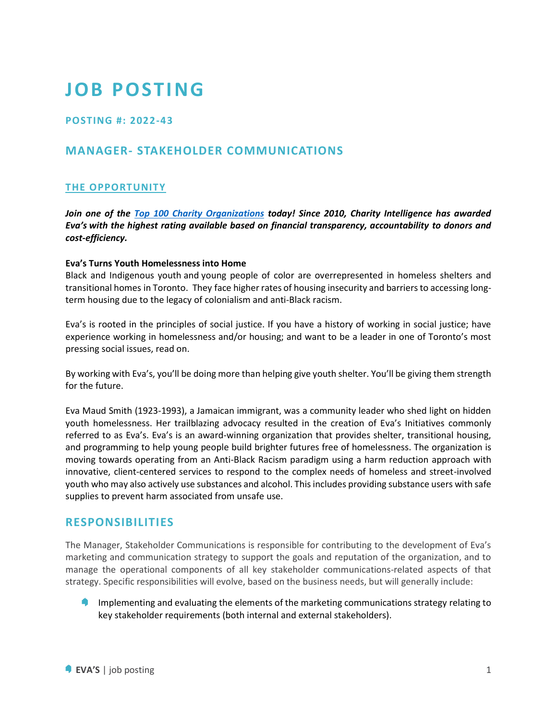# **JOB POSTING**

# **POSTING #: 2022-43**

# **MANAGER- STAKEHOLDER COMMUNICATIONS**

#### **THE OPPORTUNITY**

*Join one of the [Top 100 Charity Organizations](https://www.charityintelligence.ca/charity-details/158-eva-s-initiatives) today! Since 2010, Charity Intelligence has awarded Eva's with the highest rating available based on financial transparency, accountability to donors and cost-efficiency.*

#### **Eva's Turns Youth Homelessness into Home**

Black and Indigenous youth and young people of color are overrepresented in homeless shelters and transitional homes in Toronto. They face higher rates of housing insecurity and barriers to accessing longterm housing due to the legacy of colonialism and anti-Black racism.

Eva's is rooted in the principles of social justice. If you have a history of working in social justice; have experience working in homelessness and/or housing; and want to be a leader in one of Toronto's most pressing social issues, read on.

By working with Eva's, you'll be doing more than helping give youth shelter. You'll be giving them strength for the future.

Eva Maud Smith (1923-1993), a Jamaican immigrant, was a community leader who shed light on hidden youth homelessness. Her trailblazing advocacy resulted in the creation of Eva's Initiatives commonly referred to as Eva's. Eva's is an award-winning organization that provides shelter, transitional housing, and programming to help young people build brighter futures free of homelessness. The organization is moving towards operating from an Anti-Black Racism paradigm using a harm reduction approach with innovative, client-centered services to respond to the complex needs of homeless and street-involved youth who may also actively use substances and alcohol. Thisincludes providing substance users with safe supplies to prevent harm associated from unsafe use.

## **RESPONSIBILITIES**

The Manager, Stakeholder Communications is responsible for contributing to the development of Eva's marketing and communication strategy to support the goals and reputation of the organization, and to manage the operational components of all key stakeholder communications-related aspects of that strategy. Specific responsibilities will evolve, based on the business needs, but will generally include:

Implementing and evaluating the elements of the marketing communications strategy relating to key stakeholder requirements (both internal and external stakeholders).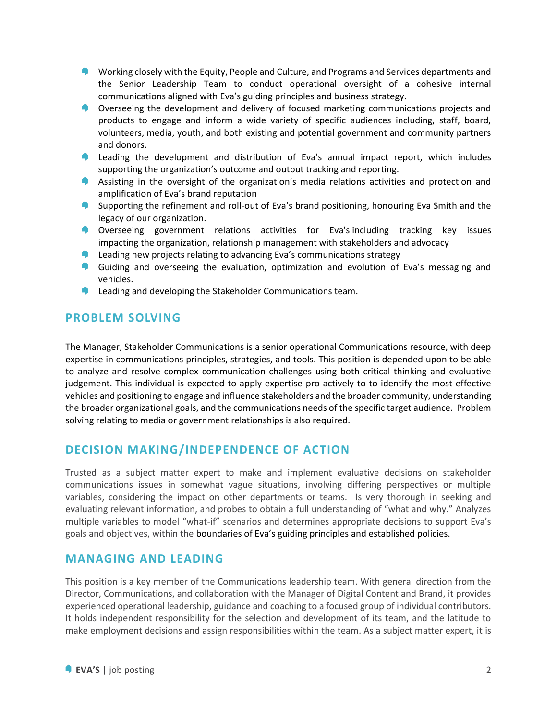- **T** Working closely with the Equity, People and Culture, and Programs and Services departments and the Senior Leadership Team to conduct operational oversight of a cohesive internal communications aligned with Eva's guiding principles and business strategy.
- **Overseeing the development and delivery of focused marketing communications projects and** products to engage and inform a wide variety of specific audiences including, staff, board, volunteers, media, youth, and both existing and potential government and community partners and donors.
- **EXECUTE:** Leading the development and distribution of Eva's annual impact report, which includes supporting the organization's outcome and output tracking and reporting.
- Assisting in the oversight of the organization's media relations activities and protection and amplification of Eva's brand reputation
- Supporting the refinement and roll-out of Eva's brand positioning, honouring Eva Smith and the legacy of our organization.
- **Overseeing government relations activities for Eva's including tracking key issues** impacting the organization, relationship management with stakeholders and advocacy
- **EXECUTE:** Leading new projects relating to advancing Eva's communications strategy
- Guiding and overseeing the evaluation, optimization and evolution of Eva's messaging and vehicles.
- **EXECUTE:** Leading and developing the Stakeholder Communications team.

# **PROBLEM SOLVING**

The Manager, Stakeholder Communications is a senior operational Communications resource, with deep expertise in communications principles, strategies, and tools. This position is depended upon to be able to analyze and resolve complex communication challenges using both critical thinking and evaluative judgement. This individual is expected to apply expertise pro-actively to to identify the most effective vehicles and positioning to engage and influence stakeholders and the broader community, understanding the broader organizational goals, and the communications needs of the specific target audience. Problem solving relating to media or government relationships is also required.

# **DECISION MAKING/INDEPENDENCE OF ACTION**

Trusted as a subject matter expert to make and implement evaluative decisions on stakeholder communications issues in somewhat vague situations, involving differing perspectives or multiple variables, considering the impact on other departments or teams. Is very thorough in seeking and evaluating relevant information, and probes to obtain a full understanding of "what and why." Analyzes multiple variables to model "what-if" scenarios and determines appropriate decisions to support Eva's goals and objectives, within the boundaries of Eva's guiding principles and established policies.

## **MANAGING AND LEADING**

This position is a key member of the Communications leadership team. With general direction from the Director, Communications, and collaboration with the Manager of Digital Content and Brand, it provides experienced operational leadership, guidance and coaching to a focused group of individual contributors. It holds independent responsibility for the selection and development of its team, and the latitude to make employment decisions and assign responsibilities within the team. As a subject matter expert, it is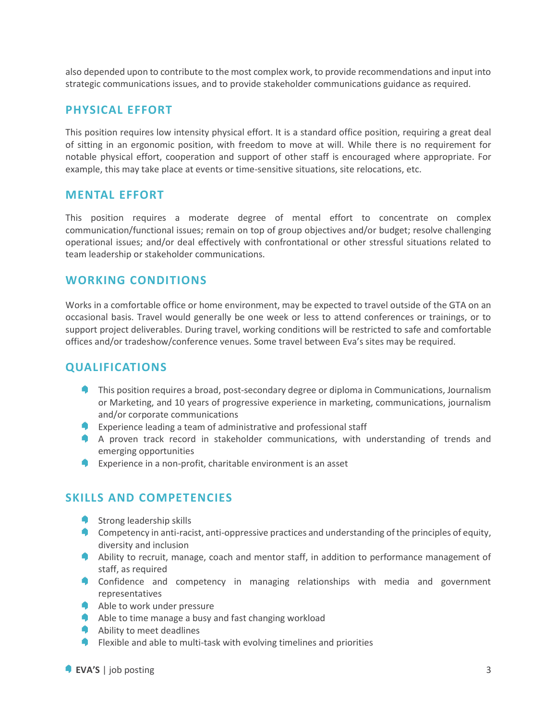also depended upon to contribute to the most complex work, to provide recommendations and input into strategic communications issues, and to provide stakeholder communications guidance as required.

## **PHYSICAL EFFORT**

This position requires low intensity physical effort. It is a standard office position, requiring a great deal of sitting in an ergonomic position, with freedom to move at will. While there is no requirement for notable physical effort, cooperation and support of other staff is encouraged where appropriate. For example, this may take place at events or time-sensitive situations, site relocations, etc.

#### **MENTAL EFFORT**

This position requires a moderate degree of mental effort to concentrate on complex communication/functional issues; remain on top of group objectives and/or budget; resolve challenging operational issues; and/or deal effectively with confrontational or other stressful situations related to team leadership or stakeholder communications.

## **WORKING CONDITIONS**

Works in a comfortable office or home environment, may be expected to travel outside of the GTA on an occasional basis. Travel would generally be one week or less to attend conferences or trainings, or to support project deliverables. During travel, working conditions will be restricted to safe and comfortable offices and/or tradeshow/conference venues. Some travel between Eva's sites may be required.

## **QUALIFICATIONS**

- **This position requires a broad, post-secondary degree or diploma in Communications, Journalism** or Marketing, and 10 years of progressive experience in marketing, communications, journalism and/or corporate communications
- **Experience leading a team of administrative and professional staff**
- A proven track record in stakeholder communications, with understanding of trends and emerging opportunities
- **P** Experience in a non-profit, charitable environment is an asset

## **SKILLS AND COMPETENCIES**

- Strong leadership skills
- **Competency in anti-racist, anti-oppressive practices and understanding of the principles of equity,** diversity and inclusion
- Ability to recruit, manage, coach and mentor staff, in addition to performance management of staff, as required
- **Confidence and competency in managing relationships with media and government** representatives
- Able to work under pressure
- Able to time manage a busy and fast changing workload
- Ability to meet deadlines
- $\bullet$  Flexible and able to multi-task with evolving timelines and priorities

**EVA'S** | job posting 3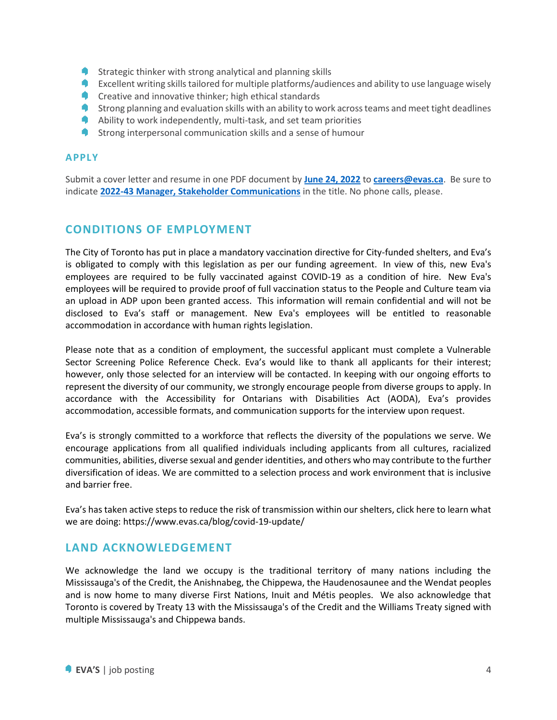- **Strategic thinker with strong analytical and planning skills**
- Excellent writing skills tailored for multiple platforms/audiences and ability to use language wisely
- **Creative and innovative thinker; high ethical standards**
- **Strong planning and evaluation skills with an ability to work across teams and meet tight deadlines**
- Ability to work independently, multi-task, and set team priorities
- **Strong interpersonal communication skills and a sense of humour**

#### **APPLY**

Submit a cover letter and resume in one PDF document by **June 24, 2022** to **[careers@evas.ca](mailto:hr@evas.ca)**. Be sure to indicate **2022-43 Manager, Stakeholder Communications** in the title. No phone calls, please.

# **CONDITIONS OF EMPLOYMENT**

The City of Toronto has put in place a mandatory vaccination directive for City-funded shelters, and Eva's is obligated to comply with this legislation as per our funding agreement. In view of this, new Eva's employees are required to be fully vaccinated against COVID-19 as a condition of hire. New Eva's employees will be required to provide proof of full vaccination status to the People and Culture team via an upload in ADP upon been granted access. This information will remain confidential and will not be disclosed to Eva's staff or management. New Eva's employees will be entitled to reasonable accommodation in accordance with human rights legislation.

Please note that as a condition of employment, the successful applicant must complete a Vulnerable Sector Screening Police Reference Check. Eva's would like to thank all applicants for their interest; however, only those selected for an interview will be contacted. In keeping with our ongoing efforts to represent the diversity of our community, we strongly encourage people from diverse groups to apply. In accordance with the Accessibility for Ontarians with Disabilities Act (AODA), Eva's provides accommodation, accessible formats, and communication supports for the interview upon request.

Eva's is strongly committed to a workforce that reflects the diversity of the populations we serve. We encourage applications from all qualified individuals including applicants from all cultures, racialized communities, abilities, diverse sexual and gender identities, and others who may contribute to the further diversification of ideas. We are committed to a selection process and work environment that is inclusive and barrier free.

Eva's has taken active steps to reduce the risk of transmission within our shelters, click here to learn what we are doing:<https://www.evas.ca/blog/covid-19-update/>

# **LAND ACKNOWLEDGEMENT**

We acknowledge the land we occupy is the traditional territory of many nations including the Mississauga's of the Credit, the Anishnabeg, the Chippewa, the Haudenosaunee and the Wendat peoples and is now home to many diverse First Nations, Inuit and Métis peoples. We also acknowledge that Toronto is covered by Treaty 13 with the Mississauga's of the Credit and the Williams Treaty signed with multiple Mississauga's and Chippewa bands.